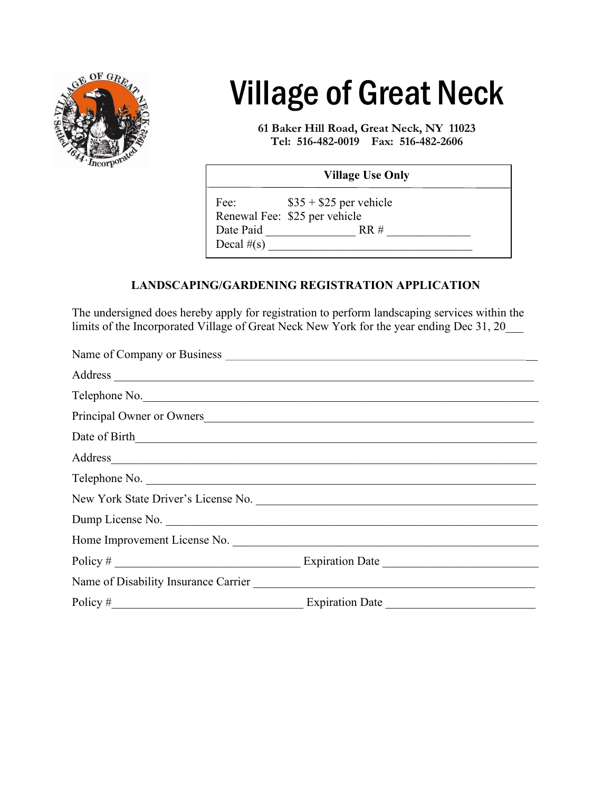

## Village of Great Neck

**61 Baker Hill Road, Great Neck, NY 11023 Tel: 516-482-0019 Fax: 516-482-2606**

| <b>Village Use Only</b>                                          |  |  |
|------------------------------------------------------------------|--|--|
| $$35 + $25$ per vehicle<br>Fee:<br>Renewal Fee: \$25 per vehicle |  |  |
| Date Paid<br>RR#<br>Decal $#(s)$                                 |  |  |

## **LANDSCAPING/GARDENING REGISTRATION APPLICATION**

The undersigned does hereby apply for registration to perform landscaping services within the limits of the Incorporated Village of Great Neck New York for the year ending Dec 31, 20\_\_\_

|            | Address and the contract of the contract of the contract of the contract of the contract of the contract of the contract of the contract of the contract of the contract of the contract of the contract of the contract of th |
|------------|--------------------------------------------------------------------------------------------------------------------------------------------------------------------------------------------------------------------------------|
|            | Telephone No.                                                                                                                                                                                                                  |
|            | Principal Owner or Owners                                                                                                                                                                                                      |
|            |                                                                                                                                                                                                                                |
|            | Address and the contract of the contract of the contract of the contract of the contract of the contract of the contract of the contract of the contract of the contract of the contract of the contract of the contract of th |
|            | Telephone No.                                                                                                                                                                                                                  |
|            |                                                                                                                                                                                                                                |
|            | Dump License No.                                                                                                                                                                                                               |
|            | Home Improvement License No.                                                                                                                                                                                                   |
|            |                                                                                                                                                                                                                                |
|            | Name of Disability Insurance Carrier                                                                                                                                                                                           |
| Policy $#$ | <b>Expiration Date</b>                                                                                                                                                                                                         |